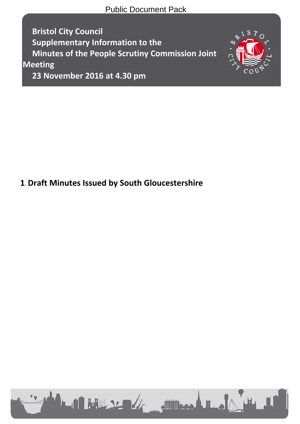Public Document Pack

**Bristol City Council Supplementary Information to the Minutes of the People Scrutiny Commission Joint Meeting**



**23 November 2016 at 4.30 pm**

# **1.Draft Minutes Issued by South Gloucestershire**

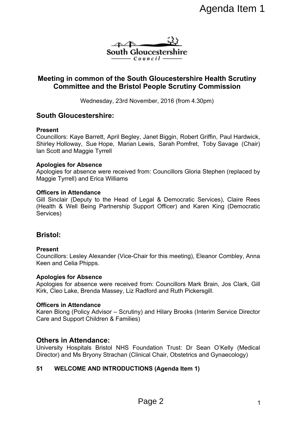

# **Meeting in common of the South Gloucestershire Health Scrutiny Committee and the Bristol People Scrutiny Commission**

Wednesday, 23rd November, 2016 (from 4.30pm)

# **South Gloucestershire:**

#### **Present**

Councillors: Kaye Barrett, April Begley, Janet Biggin, Robert Griffin, Paul Hardwick, Shirley Holloway, Sue Hope, Marian Lewis, Sarah Pomfret, Toby Savage (Chair) Ian Scott and Maggie Tyrrell Agenda Item 1<br>
Concestershire<br>
Downer if Theorem Concestershire Health Scrutiny<br>
Il People Scrutiny Commission<br>
Vember, 2016 (from 4.30pm)<br>
7. Janet Biggin, Robert Griffin, Paul Hardwick,<br>
Lewis, Sarah Pomfret, Toby Savage

#### **Apologies for Absence**

Apologies for absence were received from: Councillors Gloria Stephen (replaced by Maggie Tyrrell) and Erica Williams

#### **Officers in Attendance**

Gill Sinclair (Deputy to the Head of Legal & Democratic Services), Claire Rees (Health & Well Being Partnership Support Officer) and Karen King (Democratic Services)

# **Bristol:**

#### **Present**

Councillors: Lesley Alexander (Vice-Chair for this meeting), Eleanor Combley, Anna Keen and Celia Phipps.

#### **Apologies for Absence**

Apologies for absence were received from: Councillors Mark Brain, Jos Clark, Gill Kirk, Cleo Lake, Brenda Massey, Liz Radford and Ruth Pickersgill.

#### **Officers in Attendance**

Karen Blong (Policy Advisor – Scrutiny) and Hilary Brooks (Interim Service Director Care and Support Children & Families)

# **Others in Attendance:**

University Hospitals Bristol NHS Foundation Trust: Dr Sean O'Kelly (Medical Director) and Ms Bryony Strachan (Clinical Chair, Obstetrics and Gynaecology)

# **51 WELCOME AND INTRODUCTIONS (Agenda Item 1)**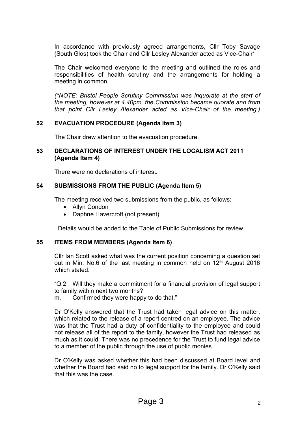In accordance with previously agreed arrangements, Cllr Toby Savage (South Glos) took the Chair and Cllr Lesley Alexander acted as Vice-Chair\*

The Chair welcomed everyone to the meeting and outlined the roles and responsibilities of health scrutiny and the arrangements for holding a meeting in common.

*(\*NOTE: Bristol People Scrutiny Commission was inquorate at the start of the meeting, however at 4.40pm, the Commission became quorate and from that point Cllr Lesley Alexander acted as Vice-Chair of the meeting.)*

## **52 EVACUATION PROCEDURE (Agenda Item 3)**

The Chair drew attention to the evacuation procedure.

#### **53 DECLARATIONS OF INTEREST UNDER THE LOCALISM ACT 2011 (Agenda Item 4)**

There were no declarations of interest.

# **54 SUBMISSIONS FROM THE PUBLIC (Agenda Item 5)**

The meeting received two submissions from the public, as follows:

- Allyn Condon
- Daphne Havercroft (not present)

Details would be added to the Table of Public Submissions for review.

# **55 ITEMS FROM MEMBERS (Agenda Item 6)**

Cllr Ian Scott asked what was the current position concerning a question set out in Min. No.6 of the last meeting in common held on 12<sup>th</sup> August 2016 which stated:

"Q.2 Will they make a commitment for a financial provision of legal support to family within next two months?

m. Confirmed they were happy to do that."

Dr O'Kelly answered that the Trust had taken legal advice on this matter, which related to the release of a report centred on an employee. The advice was that the Trust had a duty of confidentiality to the employee and could not release all of the report to the family, however the Trust had released as much as it could. There was no precedence for the Trust to fund legal advice to a member of the public through the use of public monies.

Dr O'Kelly was asked whether this had been discussed at Board level and whether the Board had said no to legal support for the family. Dr O'Kelly said that this was the case.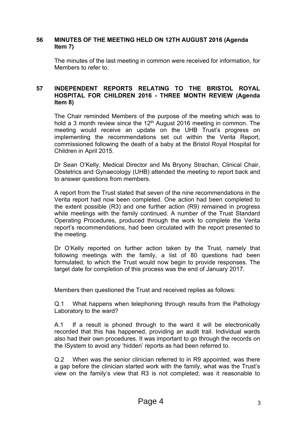#### **56 MINUTES OF THE MEETING HELD ON 12TH AUGUST 2016 (Agenda Item 7)**

The minutes of the last meeting in common were received for information, for Members to refer to.

## **57 INDEPENDENT REPORTS RELATING TO THE BRISTOL ROYAL HOSPITAL FOR CHILDREN 2016 - THREE MONTH REVIEW (Agenda Item 8)**

The Chair reminded Members of the purpose of the meeting which was to hold a 3 month review since the  $12<sup>th</sup>$  August 2016 meeting in common. The meeting would receive an update on the UHB Trust's progress on implementing the recommendations set out within the Verita Report, commissioned following the death of a baby at the Bristol Royal Hospital for Children in April 2015.

Dr Sean O'Kelly, Medical Director and Ms Bryony Strachan, Clinical Chair, Obstetrics and Gynaecology (UHB) attended the meeting to report back and to answer questions from members.

A report from the Trust stated that seven of the nine recommendations in the Verita report had now been completed. One action had been completed to the extent possible (R3) and one further action (R9) remained in progress while meetings with the family continued. A number of the Trust Standard Operating Procedures, produced through the work to complete the Verita report's recommendations, had been circulated with the report presented to the meeting.

Dr O'Kelly reported on further action taken by the Trust, namely that following meetings with the family, a list of 80 questions had been formulated, to which the Trust would now begin to provide responses. The target date for completion of this process was the end of January 2017.

Members then questioned the Trust and received replies as follows:

Q.1 What happens when telephoning through results from the Pathology Laboratory to the ward?

A.1 If a result is phoned through to the ward it will be electronically recorded that this has happened, providing an audit trail. Individual wards also had their own procedures. It was important to go through the records on the ISystem to avoid any 'hidden' reports as had been referred to.

Q.2 When was the senior clinician referred to in R9 appointed, was there a gap before the clinician started work with the family, what was the Trust's view on the family's view that R3 is not completed; was it reasonable to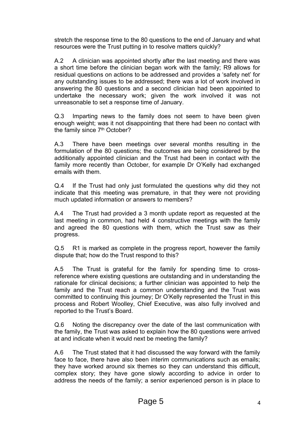stretch the response time to the 80 questions to the end of January and what resources were the Trust putting in to resolve matters quickly?

A.2 A clinician was appointed shortly after the last meeting and there was a short time before the clinician began work with the family; R9 allows for residual questions on actions to be addressed and provides a 'safety net' for any outstanding issues to be addressed; there was a lot of work involved in answering the 80 questions and a second clinician had been appointed to undertake the necessary work; given the work involved it was not unreasonable to set a response time of January.

Q.3 Imparting news to the family does not seem to have been given enough weight; was it not disappointing that there had been no contact with the family since 7<sup>th</sup> October?

A.3 There have been meetings over several months resulting in the formulation of the 80 questions; the outcomes are being considered by the additionally appointed clinician and the Trust had been in contact with the family more recently than October, for example Dr O'Kelly had exchanged emails with them.

Q.4 If the Trust had only just formulated the questions why did they not indicate that this meeting was premature, in that they were not providing much updated information or answers to members?

A.4 The Trust had provided a 3 month update report as requested at the last meeting in common, had held 4 constructive meetings with the family and agreed the 80 questions with them, which the Trust saw as their progress.

Q.5 R1 is marked as complete in the progress report, however the family dispute that; how do the Trust respond to this?

A.5 The Trust is grateful for the family for spending time to crossreference where existing questions are outstanding and in understanding the rationale for clinical decisions; a further clinician was appointed to help the family and the Trust reach a common understanding and the Trust was committed to continuing this journey; Dr O'Kelly represented the Trust in this process and Robert Woolley, Chief Executive, was also fully involved and reported to the Trust's Board.

Q.6 Noting the discrepancy over the date of the last communication with the family, the Trust was asked to explain how the 80 questions were arrived at and indicate when it would next be meeting the family?

A.6 The Trust stated that it had discussed the way forward with the family face to face, there have also been interim communications such as emails; they have worked around six themes so they can understand this difficult, complex story; they have gone slowly according to advice in order to address the needs of the family; a senior experienced person is in place to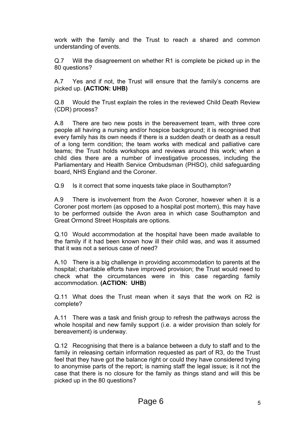work with the family and the Trust to reach a shared and common understanding of events.

Q.7 Will the disagreement on whether R1 is complete be picked up in the 80 questions?

A.7 Yes and if not, the Trust will ensure that the family's concerns are picked up. **(ACTION: UHB)**

Q.8 Would the Trust explain the roles in the reviewed Child Death Review (CDR) process?

A.8 There are two new posts in the bereavement team, with three core people all having a nursing and/or hospice background; it is recognised that every family has its own needs if there is a sudden death or death as a result of a long term condition; the team works with medical and palliative care teams; the Trust holds workshops and reviews around this work; when a child dies there are a number of investigative processes, including the Parliamentary and Health Service Ombudsman (PHSO), child safeguarding board, NHS England and the Coroner.

Q.9 Is it correct that some inquests take place in Southampton?

A.9 There is involvement from the Avon Coroner, however when it is a Coroner post mortem (as opposed to a hospital post mortem), this may have to be performed outside the Avon area in which case Southampton and Great Ormond Street Hospitals are options.

Q.10 Would accommodation at the hospital have been made available to the family if it had been known how ill their child was, and was it assumed that it was not a serious case of need?

A.10 There is a big challenge in providing accommodation to parents at the hospital; charitable efforts have improved provision; the Trust would need to check what the circumstances were in this case regarding family accommodation. **(ACTION: UHB)**

Q.11 What does the Trust mean when it says that the work on R2 is complete?

A.11 There was a task and finish group to refresh the pathways across the whole hospital and new family support (i.e. a wider provision than solely for bereavement) is underway.

Q.12 Recognising that there is a balance between a duty to staff and to the family in releasing certain information requested as part of R3, do the Trust feel that they have got the balance right or could they have considered trying to anonymise parts of the report; is naming staff the legal issue; is it not the case that there is no closure for the family as things stand and will this be picked up in the 80 questions?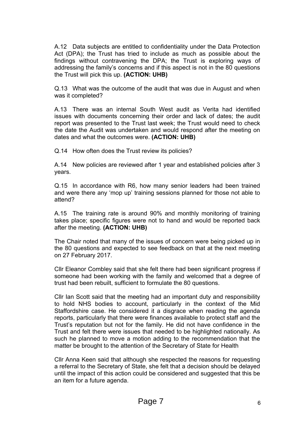A.12 Data subjects are entitled to confidentiality under the Data Protection Act (DPA); the Trust has tried to include as much as possible about the findings without contravening the DPA; the Trust is exploring ways of addressing the family's concerns and if this aspect is not in the 80 questions the Trust will pick this up. **(ACTION: UHB)**

Q.13 What was the outcome of the audit that was due in August and when was it completed?

A.13 There was an internal South West audit as Verita had identified issues with documents concerning their order and lack of dates; the audit report was presented to the Trust last week; the Trust would need to check the date the Audit was undertaken and would respond after the meeting on dates and what the outcomes were. **(ACTION: UHB)**

Q.14 How often does the Trust review its policies?

A.14 New policies are reviewed after 1 year and established policies after 3 years.

Q.15 In accordance with R6, how many senior leaders had been trained and were there any 'mop up' training sessions planned for those not able to attend?

A.15 The training rate is around 90% and monthly monitoring of training takes place; specific figures were not to hand and would be reported back after the meeting. **(ACTION: UHB)**

The Chair noted that many of the issues of concern were being picked up in the 80 questions and expected to see feedback on that at the next meeting on 27 February 2017.

Cllr Eleanor Combley said that she felt there had been significant progress if someone had been working with the family and welcomed that a degree of trust had been rebuilt, sufficient to formulate the 80 questions.

Cllr Ian Scott said that the meeting had an important duty and responsibility to hold NHS bodies to account, particularly in the context of the Mid Staffordshire case. He considered it a disgrace when reading the agenda reports, particularly that there were finances available to protect staff and the Trust's reputation but not for the family. He did not have confidence in the Trust and felt there were issues that needed to be highlighted nationally. As such he planned to move a motion adding to the recommendation that the matter be brought to the attention of the Secretary of State for Health

Cllr Anna Keen said that although she respected the reasons for requesting a referral to the Secretary of State, she felt that a decision should be delayed until the impact of this action could be considered and suggested that this be an item for a future agenda.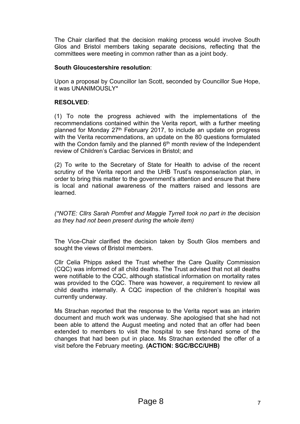The Chair clarified that the decision making process would involve South Glos and Bristol members taking separate decisions, reflecting that the committees were meeting in common rather than as a joint body.

## **South Gloucestershire resolution**:

Upon a proposal by Councillor Ian Scott, seconded by Councillor Sue Hope, it was UNANIMOUSLY\*

# **RESOLVED**:

(1) To note the progress achieved with the implementations of the recommendations contained within the Verita report, with a further meeting planned for Monday 27<sup>th</sup> February 2017, to include an update on progress with the Verita recommendations, an update on the 80 questions formulated with the Condon family and the planned  $6<sup>th</sup>$  month review of the Independent review of Children's Cardiac Services in Bristol; and

(2) To write to the Secretary of State for Health to advise of the recent scrutiny of the Verita report and the UHB Trust's response/action plan, in order to bring this matter to the government's attention and ensure that there is local and national awareness of the matters raised and lessons are learned.

*(\*NOTE: Cllrs Sarah Pomfret and Maggie Tyrrell took no part in the decision as they had not been present during the whole item)*

The Vice-Chair clarified the decision taken by South Glos members and sought the views of Bristol members.

Cllr Celia Phipps asked the Trust whether the Care Quality Commission (CQC) was informed of all child deaths. The Trust advised that not all deaths were notifiable to the CQC, although statistical information on mortality rates was provided to the CQC. There was however, a requirement to review all child deaths internally. A CQC inspection of the children's hospital was currently underway.

Ms Strachan reported that the response to the Verita report was an interim document and much work was underway. She apologised that she had not been able to attend the August meeting and noted that an offer had been extended to members to visit the hospital to see first-hand some of the changes that had been put in place. Ms Strachan extended the offer of a visit before the February meeting. **(ACTION: SGC/BCC/UHB)**